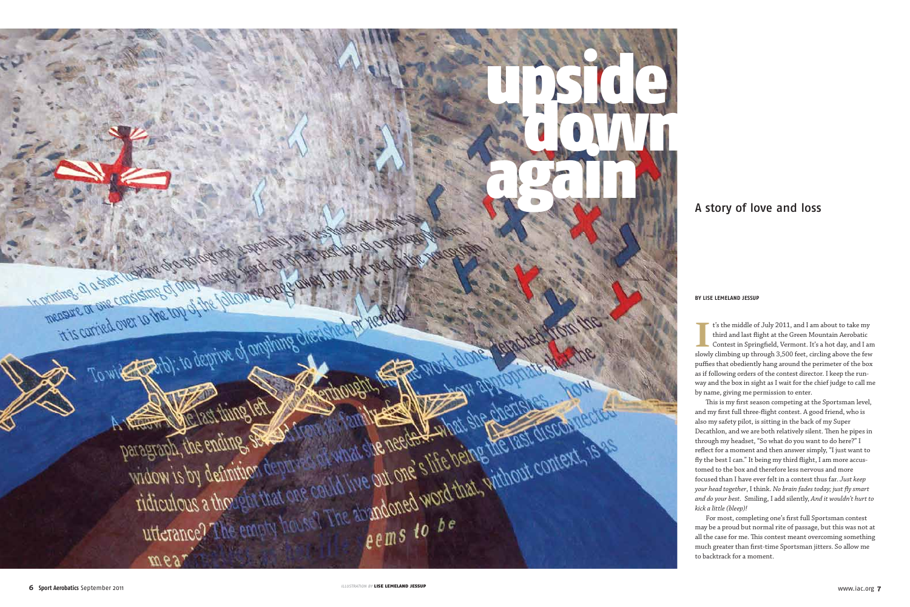## A story of love and loss

#### **BY Lise Leme land Jessup**

**I**<sup>t</sup>'s the middle of July 2011, and I am about to take my third and last flight at the Green Mountain Aerobatic Contest in Springfield, Vermont. It's a hot day, and I am slowly climbing up through 3,500 feet, circling ab t's the middle of July 2011, and I am about to take my third and last flight at the Green Mountain Aerobatic Contest in Springfield, Vermont. It's a hot day, and I am puffies that obediently hang around the perimeter of the box as if following orders of the contest director. I keep the run way and the box in sight as I wait for the chief judge to call me by name, giving me permission to enter. This is my first season competing at the Sportsman level,

and my first full three-flight contest. A good friend, who is also my safety pilot, is sitting in the back of my Super Decathlon, and we are both relatively silent. Then he pipes in through my headset, "So what do you want to do here?" I reflect for a moment and then answer simply, "I just want to fly the best I can." It being my third flight, I am more accus tomed to the box and therefore less nervous and more focused than I have ever felt in a contest thus far. *Just keep your head together*, I think. *No brain fades today; just fly smart and do your best.* Smiling, I add silently, *And it wouldn't hurt to kick a little (bleep)!* For most, completing one's first full Sportsman contest

may be a proud but normal rite of passage, but this was not at all the case for me. This contest meant overcoming something much greater than first-time Sportsman jitters. So allow me to backtrack for a moment.

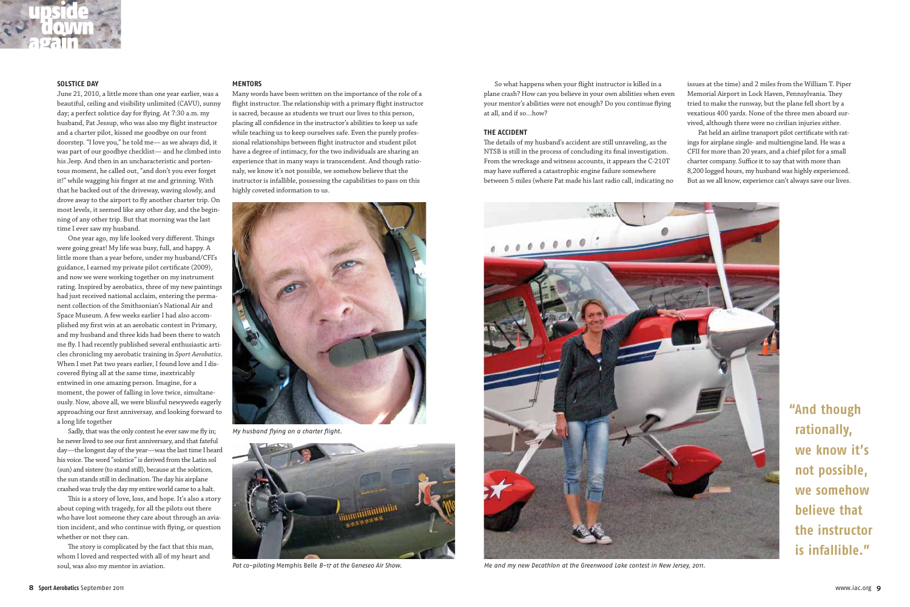**"And though rationally, we know it's not possible, we somehow believe that the instructor is infallible."**



### **Solstice Day**

June 21, 2010, a little more than one year earlier, was a beautiful, ceiling and visibility unlimited (CAVU), sunny day; a perfect solstice day for flying. At 7:30 a.m. my husband, Pat Jessup, who was also my flight instructor and a charter pilot, kissed me goodbye on our front doorstep. "I love you," he told me— as we always did, it was part of our goodbye checklist— and he climbed into his Jeep. And then in an uncharacteristic and portentous moment, he called out, "and don't you ever forget it!" while wagging his finger at me and grinning. With that he backed out of the driveway, waving slowly, and drove away to the airport to fly another charter trip. On most levels, it seemed like any other day, and the beginning of any other trip. But that morning was the last time I ever saw my husband.

Sadly, that was the only contest he ever saw me fly in; he never lived to see our first anniversary, and that fateful day—the longest day of the year—was the last time I heard his voice. The word "solstice" is derived from the Latin sol (sun) and sistere (to stand still), because at the solstices, the sun stands still in declination. The day his airplane crashed was truly the day my entire world came to a halt.

One year ago, my life looked very different. Things were going great! My life was busy, full, and happy. A little more than a year before, under my husband/CFI's guidance, I earned my private pilot certificate (2009), and now we were working together on my instrument rating. Inspired by aerobatics, three of my new paintings had just received national acclaim, entering the permanent collection of the Smithsonian's National Air and Space Museum. A few weeks earlier I had also accomplished my first win at an aerobatic contest in Primary, and my husband and three kids had been there to watch me fly. I had recently published several enthusiastic articles chronicling my aerobatic training in *Sport Aerobatics*. When I met Pat two years earlier, I found love and I discovered flying all at the same time, inextricably entwined in one amazing person. Imagine, for a moment, the power of falling in love twice, simultaneously. Now, above all, we were blissful newyweds eagerly approaching our first anniversay, and looking forward to a long life together

This is a story of love, loss, and hope. It's also a story about coping with tragedy, for all the pilots out there who have lost someone they care about through an aviation incident, and who continue with flying, or question whether or not they can.

The story is complicated by the fact that this man, whom I loved and respected with all of my heart and soul, was also my mentor in aviation.

### **Mentors**

Many words have been written on the importance of the role of a flight instructor. The relationship with a primary flight instructor is sacred, because as students we trust our lives to this person, placing all confidence in the instructor's abilities to keep us safe while teaching us to keep ourselves safe. Even the purely professional relationships between flight instructor and student pilot have a degree of intimacy, for the two individuals are sharing an experience that in many ways is transcendent. And though rationaly, we know it's not possible, we somehow believe that the instructor is infallible, possessing the capabilities to pass on this highly coveted information to us.

So what happens when your flight instructor is killed in a plane crash? How can you believe in your own abilities when even your mentor's abilities were not enough? Do you continue flying at all, and if so…how?

#### **The Accident**

The details of my husband's accident are still unraveling, as the NTSB is still in the process of concluding its final investigation. From the wreckage and witness accounts, it appears the C-210T may have suffered a catastrophic engine failure somewhere between 5 miles (where Pat made his last radio call, indicating no

issues at the time) and 2 miles from the William T. Piper Memorial Airport in Lock Haven, Pennsylvania. They tried to make the runway, but the plane fell short by a vexatious 400 yards. None of the three men aboard survived, although there were no civilian injuries either. Pat held an airline transport pilot certificate with ratings for airplane single- and multiengine land. He was a CFII for more than 20 years, and a chief pilot for a small charter company. Suffice it to say that with more than 8,200 logged hours, my husband was highly experienced. But as we all know, experience can't always save our lives.





My husband flying on a charter flight.



Pat co-piloting Memphis Belle B-17 at the Geneseo Air Show.



Me and my new Decathlon at the Greenwood Lake contest in New Jersey, 2011.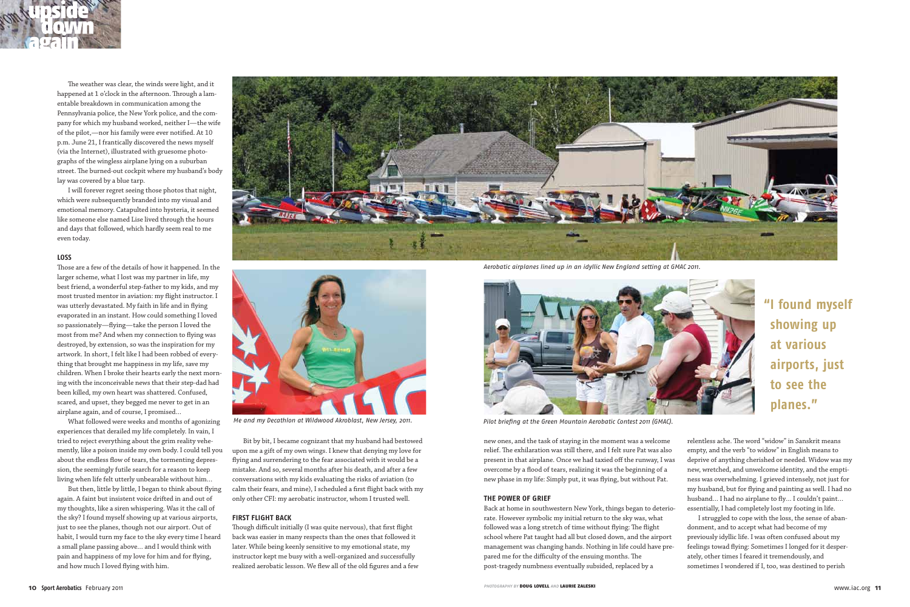

The weather was clear, the winds were light, and it happened at 1 o'clock in the afternoon. Through a lamentable breakdown in communication among the Pennsylvania police, the New York police, and the company for which my husband worked, neither I—the wife of the pilot,—nor his family were ever notified. At 10 p.m. June 21, I frantically discovered the news myself (via the Internet), illustrated with gruesome photographs of the wingless airplane lying on a suburban street. The burned-out cockpit where my husband's body lay was covered by a blue tarp.

I will forever regret seeing those photos that night, which were subsequently branded into my visual and emotional memory. Catapulted into hysteria, it seemed like someone else named Lise lived through the hours and days that followed, which hardly seem real to me even today.

#### **Loss**

Those are a few of the details of how it happened. In the larger scheme, what I lost was my partner in life, my best friend, a wonderful step-father to my kids, and my most trusted mentor in aviation: my flight instructor. I was utterly devastated. My faith in life and in flying evaporated in an instant. How could something I loved so passionately—flying—take the person I loved the most from me? And when my connection to flying was destroyed, by extension, so was the inspiration for my artwork. In short, I felt like I had been robbed of everything that brought me happiness in my life, save my children. When I broke their hearts early the next morning with the inconceivable news that their step-dad had been killed, my own heart was shattered. Confused, scared, and upset, they begged me never to get in an airplane again, and of course, I promised…

What followed were weeks and months of agonizing experiences that derailed my life completely. In vain, I tried to reject everything about the grim reality vehemently, like a poison inside my own body. I could tell you about the endless flow of tears, the tormenting depression, the seemingly futile search for a reason to keep living when life felt utterly unbearable without him…

But then, little by little, I began to think about flying again. A faint but insistent voice drifted in and out of my thoughts, like a siren whispering. Was it the call of the sky? I found myself showing up at various airports, just to see the planes, though not our airport. Out of habit, I would turn my face to the sky every time I heard a small plane passing above… and I would think with pain and happiness of my love for him and for flying, and how much I loved flying with him.

Bit by bit, I became cognizant that my husband had bestowed upon me a gift of my own wings. I knew that denying my love for flying and surrendering to the fear associated with it would be a mistake. And so, several months after his death, and after a few conversations with my kids evaluating the risks of aviation (to calm their fears, and mine), I scheduled a first flight back with my only other CFI: my aerobatic instructor, whom I trusted well.

#### **First Flight Back**

Though difficult initially (I was quite nervous), that first flight back was easier in many respects than the ones that followed it later. While being keenly sensitive to my emotional state, my instructor kept me busy with a well-organized and successfully realized aerobatic lesson. We flew all of the old figures and a few

new ones, and the task of staying in the moment was a welcome relief. The exhilaration was still there, and I felt sure Pat was also present in that airplane. Once we had taxied off the runway, I was overcome by a flood of tears, realizing it was the beginning of a new phase in my life: Simply put, it was flying, but without Pat.

#### **The Power of Grief**

Back at home in southwestern New York, things began to deteriorate. However symbolic my initial return to the sky was, what followed was a long stretch of time without flying: The flight school where Pat taught had all but closed down, and the airport management was changing hands. Nothing in life could have prepared me for the difficulty of the ensuing months. The post-tragedy numbness eventually subsided, replaced by a

relentless ache. The word "widow" in Sanskrit means empty, and the verb "to widow" in English means to deprive of anything cherished or needed. Widow was my new, wretched, and unwelcome identity, and the emptiness was overwhelming. I grieved intensely, not just for my husband, but for flying and painting as well. I had no husband... I had no airplane to fly... I couldn't paint... essentially, I had completely lost my footing in life. I struggled to cope with the loss, the sense of abandonment, and to accept what had become of my previously idyllic life. I was often confused about my feelings towad flying: Sometimes I longed for it desperately, other times I feared it tremendously, and sometimes I wondered if I, too, was destined to perish

**"I found myself showing up at various airports, just to see the planes."**



Me and my Decathlon at Wildwood Akroblast, New Jersey, 2011. Pilot briefing at the Green Mountain Aerobatic Contest 2011 (GMAC).



Aerobatic airplanes lined up in an idyllic New England setting at GMAC 2011.

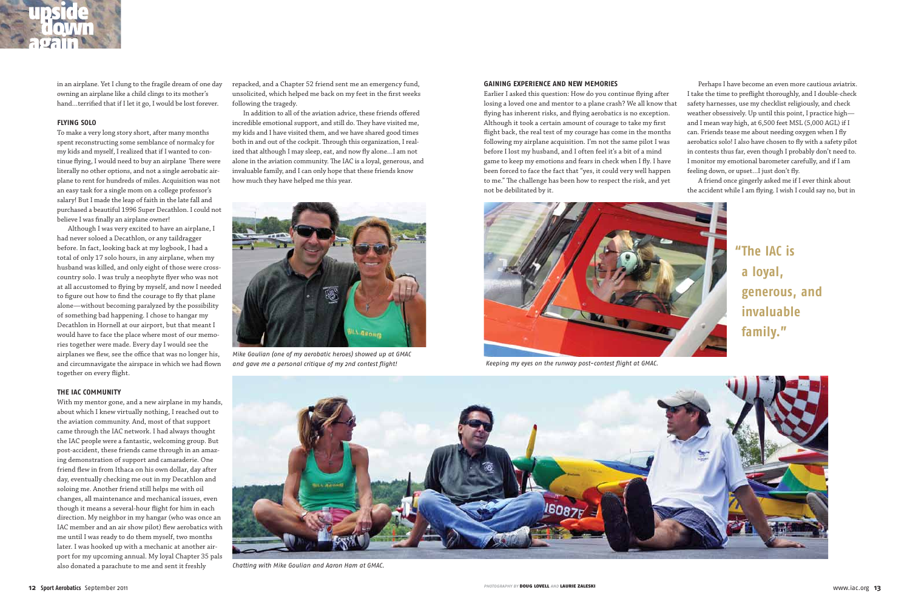in an airplane. Yet I clung to the fragile dream of one day owning an airplane like a child clings to its mother's hand…terrified that if I let it go, I would be lost forever.

### **Flying Solo**

To make a very long story short, after many months spent reconstructing some semblance of normalcy for my kids and myself, I realized that if I wanted to continue flying, I would need to buy an airplane There were literally no other options, and not a single aerobatic airplane to rent for hundreds of miles. Acquisition was not an easy task for a single mom on a college professor's salary! But I made the leap of faith in the late fall and purchased a beautiful 1996 Super Decathlon. I could not believe I was finally an airplane owner!

Although I was very excited to have an airplane, I had never soloed a Decathlon, or any taildragger before. In fact, looking back at my logbook, I had a total of only 17 solo hours, in any airplane, when my husband was killed, and only eight of those were crosscountry solo. I was truly a neophyte flyer who was not at all accustomed to flying by myself, and now I needed to figure out how to find the courage to fly that plane alone—without becoming paralyzed by the possibility of something bad happening. I chose to hangar my Decathlon in Hornell at our airport, but that meant I would have to face the place where most of our memories together were made. Every day I would see the airplanes we flew, see the office that was no longer his, and circumnavigate the airspace in which we had flown together on every flight.

#### **The IAC Community**

With my mentor gone, and a new airplane in my hands, about which I knew virtually nothing, I reached out to the aviation community. And, most of that support came through the IAC network. I had always thought the IAC people were a fantastic, welcoming group. But post-accident, these friends came through in an amazing demonstration of support and camaraderie. One friend flew in from Ithaca on his own dollar, day after day, eventually checking me out in my Decathlon and soloing me. Another friend still helps me with oil changes, all maintenance and mechanical issues, even though it means a several-hour flight for him in each direction. My neighbor in my hangar (who was once an IAC member and an air show pilot) flew aerobatics with me until I was ready to do them myself, two months later. I was hooked up with a mechanic at another airport for my upcoming annual. My loyal Chapter 35 pals also donated a parachute to me and sent it freshly



Mike Goulian (one of my aerobatic heroes) showed up at GMAC and gave me a personal critique of my 2nd contest flight! Keeping my eyes on the runway post-contest flight at GMAC.

repacked, and a Chapter 52 friend sent me an emergency fund, unsolicited, which helped me back on my feet in the first weeks following the tragedy.

In addition to all of the aviation advice, these friends offered incredible emotional support, and still do. They have visited me, my kids and I have visited them, and we have shared good times both in and out of the cockpit. Through this organization, I realized that although I may sleep, eat, and now fly alone…I am not alone in the aviation community. The IAC is a loyal, generous, and invaluable family, and I can only hope that these friends know how much they have helped me this year.

#### **Gaining Experience and New Memories**

Earlier I asked this question: How do you continue flying after losing a loved one and mentor to a plane crash? We all know that flying has inherent risks, and flying aerobatics is no exception. Although it took a certain amount of courage to take my first flight back, the real test of my courage has come in the months following my airplane acquisition. I'm not the same pilot I was before I lost my husband, and I often feel it's a bit of a mind game to keep my emotions and fears in check when I fly. I have been forced to face the fact that "yes, it could very well happen to me." The challenge has been how to respect the risk, and yet not be debilitated by it.

Perhaps I have become an even more cautious aviatrix. I take the time to preflight thoroughly, and I double-check safety harnesses, use my checklist religiously, and check weather obsessively. Up until this point, I practice high and I mean way high, at 6,500 feet MSL (5,000 AGL) if I can. Friends tease me about needing oxygen when I fly aerobatics solo! I also have chosen to fly with a safety pilot in contests thus far, even though I probably don't need to. I monitor my emotional barometer carefully, and if I am feeling down, or upset…I just don't fly.

A friend once gingerly asked me if I ever think about the accident while I am flying. I wish I could say no, but in



**"The IAC is a loyal, generous, and invaluable family."**



Chatting with Mike Goulian and Aaron Ham at GMAC.